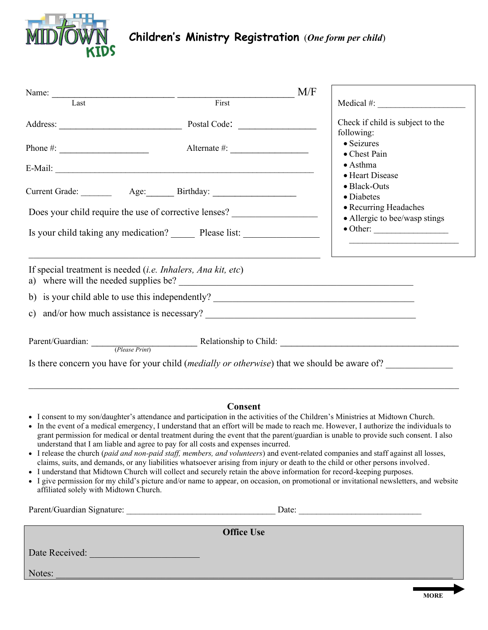

## **Children's Ministry Registration** (*One form per child*)

| Name:                                                                                                                                                                                                                                                                                                                                                                                                                                                                                                                                                                                                                                                                                                                                                                                                                                                                                                                                               |                   | M/F |                                                                                                                                      |  |  |
|-----------------------------------------------------------------------------------------------------------------------------------------------------------------------------------------------------------------------------------------------------------------------------------------------------------------------------------------------------------------------------------------------------------------------------------------------------------------------------------------------------------------------------------------------------------------------------------------------------------------------------------------------------------------------------------------------------------------------------------------------------------------------------------------------------------------------------------------------------------------------------------------------------------------------------------------------------|-------------------|-----|--------------------------------------------------------------------------------------------------------------------------------------|--|--|
| Last                                                                                                                                                                                                                                                                                                                                                                                                                                                                                                                                                                                                                                                                                                                                                                                                                                                                                                                                                | First             |     | $Medical \#:\n \begin{array}{ccc}\n \overline{1} & 1 & 1 \\ \hline\n \end{array}$                                                    |  |  |
| Address: Postal Code: Postal Code:                                                                                                                                                                                                                                                                                                                                                                                                                                                                                                                                                                                                                                                                                                                                                                                                                                                                                                                  |                   |     | Check if child is subject to the<br>following:                                                                                       |  |  |
| Phone #: $\frac{1}{2}$                                                                                                                                                                                                                                                                                                                                                                                                                                                                                                                                                                                                                                                                                                                                                                                                                                                                                                                              | Alternate #:      |     | • Seizures<br>• Chest Pain                                                                                                           |  |  |
|                                                                                                                                                                                                                                                                                                                                                                                                                                                                                                                                                                                                                                                                                                                                                                                                                                                                                                                                                     |                   |     | $\bullet$ Asthma<br>• Heart Disease                                                                                                  |  |  |
|                                                                                                                                                                                                                                                                                                                                                                                                                                                                                                                                                                                                                                                                                                                                                                                                                                                                                                                                                     |                   |     | · Black-Outs<br>• Diabetes                                                                                                           |  |  |
| Does your child require the use of corrective lenses?                                                                                                                                                                                                                                                                                                                                                                                                                                                                                                                                                                                                                                                                                                                                                                                                                                                                                               |                   |     | • Recurring Headaches<br>• Allergic to bee/wasp stings                                                                               |  |  |
| Is your child taking any medication? _________ Please list: ____________________                                                                                                                                                                                                                                                                                                                                                                                                                                                                                                                                                                                                                                                                                                                                                                                                                                                                    |                   |     | $\bullet$ Other:                                                                                                                     |  |  |
| If special treatment is needed <i>(i.e. Inhalers, Ana kit, etc)</i>                                                                                                                                                                                                                                                                                                                                                                                                                                                                                                                                                                                                                                                                                                                                                                                                                                                                                 |                   |     |                                                                                                                                      |  |  |
|                                                                                                                                                                                                                                                                                                                                                                                                                                                                                                                                                                                                                                                                                                                                                                                                                                                                                                                                                     |                   |     |                                                                                                                                      |  |  |
|                                                                                                                                                                                                                                                                                                                                                                                                                                                                                                                                                                                                                                                                                                                                                                                                                                                                                                                                                     |                   |     |                                                                                                                                      |  |  |
| Parent/Guardian: (Please Print) Relationship to Child:                                                                                                                                                                                                                                                                                                                                                                                                                                                                                                                                                                                                                                                                                                                                                                                                                                                                                              |                   |     |                                                                                                                                      |  |  |
| Is there concern you have for your child <i>(medially or otherwise)</i> that we should be aware of?                                                                                                                                                                                                                                                                                                                                                                                                                                                                                                                                                                                                                                                                                                                                                                                                                                                 |                   |     |                                                                                                                                      |  |  |
|                                                                                                                                                                                                                                                                                                                                                                                                                                                                                                                                                                                                                                                                                                                                                                                                                                                                                                                                                     | <b>Consent</b>    |     |                                                                                                                                      |  |  |
| • I consent to my son/daughter's attendance and participation in the activities of the Children's Ministries at Midtown Church.<br>• In the event of a medical emergency, I understand that an effort will be made to reach me. However, I authorize the individuals to<br>understand that I am liable and agree to pay for all costs and expenses incurred.<br>• I release the church (paid and non-paid staff, members, and volunteers) and event-related companies and staff against all losses,<br>claims, suits, and demands, or any liabilities whatsoever arising from injury or death to the child or other persons involved.<br>• I understand that Midtown Church will collect and securely retain the above information for record-keeping purposes.<br>• I give permission for my child's picture and/or name to appear, on occasion, on promotional or invitational newsletters, and website<br>affiliated solely with Midtown Church. |                   |     | grant permission for medical or dental treatment during the event that the parent/guardian is unable to provide such consent. I also |  |  |
|                                                                                                                                                                                                                                                                                                                                                                                                                                                                                                                                                                                                                                                                                                                                                                                                                                                                                                                                                     |                   |     |                                                                                                                                      |  |  |
|                                                                                                                                                                                                                                                                                                                                                                                                                                                                                                                                                                                                                                                                                                                                                                                                                                                                                                                                                     | <b>Office Use</b> |     |                                                                                                                                      |  |  |
| Date Received:                                                                                                                                                                                                                                                                                                                                                                                                                                                                                                                                                                                                                                                                                                                                                                                                                                                                                                                                      |                   |     |                                                                                                                                      |  |  |

 $\rm Notes:$